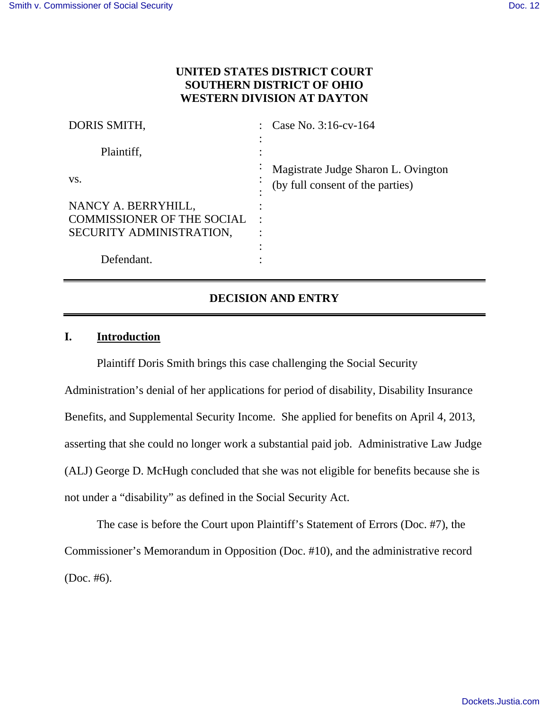# **UNITED STATES DISTRICT COURT SOUTHERN DISTRICT OF OHIO WESTERN DIVISION AT DAYTON**

| DORIS SMITH,                      | Case No. $3:16$ -cv- $164$                                              |
|-----------------------------------|-------------------------------------------------------------------------|
| Plaintiff,                        |                                                                         |
| VS.                               | Magistrate Judge Sharon L. Ovington<br>(by full consent of the parties) |
| NANCY A. BERRYHILL,               |                                                                         |
| <b>COMMISSIONER OF THE SOCIAL</b> |                                                                         |
| SECURITY ADMINISTRATION,          |                                                                         |
|                                   |                                                                         |
| Defendant.                        |                                                                         |

# **DECISION AND ENTRY**

# **I. Introduction**

Plaintiff Doris Smith brings this case challenging the Social Security

Administration's denial of her applications for period of disability, Disability Insurance Benefits, and Supplemental Security Income. She applied for benefits on April 4, 2013, asserting that she could no longer work a substantial paid job. Administrative Law Judge (ALJ) George D. McHugh concluded that she was not eligible for benefits because she is not under a "disability" as defined in the Social Security Act.

The case is before the Court upon Plaintiff's Statement of Errors (Doc. #7), the Commissioner's Memorandum in Opposition (Doc. #10), and the administrative record (Doc. #6).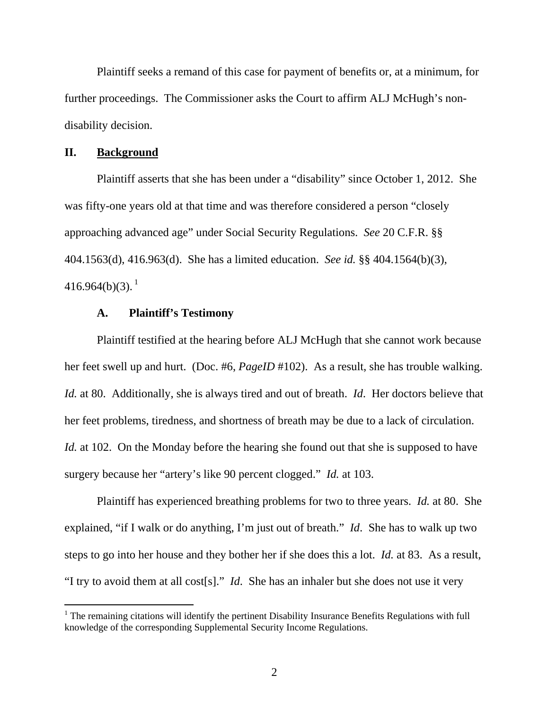Plaintiff seeks a remand of this case for payment of benefits or, at a minimum, for further proceedings. The Commissioner asks the Court to affirm ALJ McHugh's nondisability decision.

#### **II. Background**

Plaintiff asserts that she has been under a "disability" since October 1, 2012. She was fifty-one years old at that time and was therefore considered a person "closely approaching advanced age" under Social Security Regulations. *See* 20 C.F.R. §§ 404.1563(d), 416.963(d). She has a limited education. *See id.* §§ 404.1564(b)(3),  $416.964(b)(3).<sup>1</sup>$ 

# **A. Plaintiff's Testimony**

Plaintiff testified at the hearing before ALJ McHugh that she cannot work because her feet swell up and hurt. (Doc. #6, *PageID* #102). As a result, she has trouble walking. *Id.* at 80. Additionally, she is always tired and out of breath. *Id*. Her doctors believe that her feet problems, tiredness, and shortness of breath may be due to a lack of circulation. *Id.* at 102. On the Monday before the hearing she found out that she is supposed to have surgery because her "artery's like 90 percent clogged." *Id.* at 103.

Plaintiff has experienced breathing problems for two to three years. *Id.* at 80. She explained, "if I walk or do anything, I'm just out of breath." *Id*. She has to walk up two steps to go into her house and they bother her if she does this a lot. *Id.* at 83. As a result, "I try to avoid them at all cost[s]." *Id*. She has an inhaler but she does not use it very

 $1$  The remaining citations will identify the pertinent Disability Insurance Benefits Regulations with full knowledge of the corresponding Supplemental Security Income Regulations.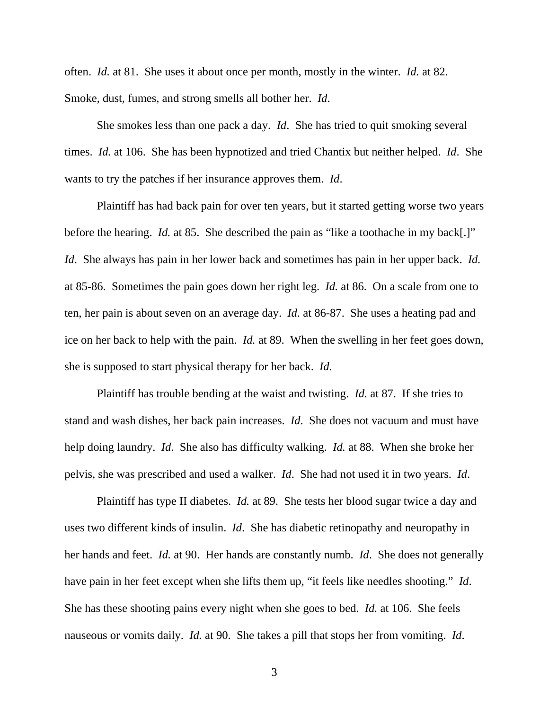often. *Id.* at 81. She uses it about once per month, mostly in the winter. *Id.* at 82. Smoke, dust, fumes, and strong smells all bother her. *Id*.

She smokes less than one pack a day. *Id*. She has tried to quit smoking several times. *Id.* at 106. She has been hypnotized and tried Chantix but neither helped. *Id*. She wants to try the patches if her insurance approves them. *Id*.

Plaintiff has had back pain for over ten years, but it started getting worse two years before the hearing. *Id.* at 85. She described the pain as "like a toothache in my back[.]" *Id*. She always has pain in her lower back and sometimes has pain in her upper back. *Id.* at 85-86. Sometimes the pain goes down her right leg. *Id.* at 86. On a scale from one to ten, her pain is about seven on an average day. *Id.* at 86-87. She uses a heating pad and ice on her back to help with the pain. *Id.* at 89. When the swelling in her feet goes down, she is supposed to start physical therapy for her back. *Id*.

Plaintiff has trouble bending at the waist and twisting. *Id.* at 87. If she tries to stand and wash dishes, her back pain increases. *Id*. She does not vacuum and must have help doing laundry. *Id*. She also has difficulty walking. *Id.* at 88. When she broke her pelvis, she was prescribed and used a walker. *Id*. She had not used it in two years. *Id*.

Plaintiff has type II diabetes. *Id.* at 89. She tests her blood sugar twice a day and uses two different kinds of insulin. *Id*. She has diabetic retinopathy and neuropathy in her hands and feet. *Id.* at 90. Her hands are constantly numb. *Id*. She does not generally have pain in her feet except when she lifts them up, "it feels like needles shooting." *Id*. She has these shooting pains every night when she goes to bed. *Id.* at 106. She feels nauseous or vomits daily. *Id.* at 90. She takes a pill that stops her from vomiting. *Id*.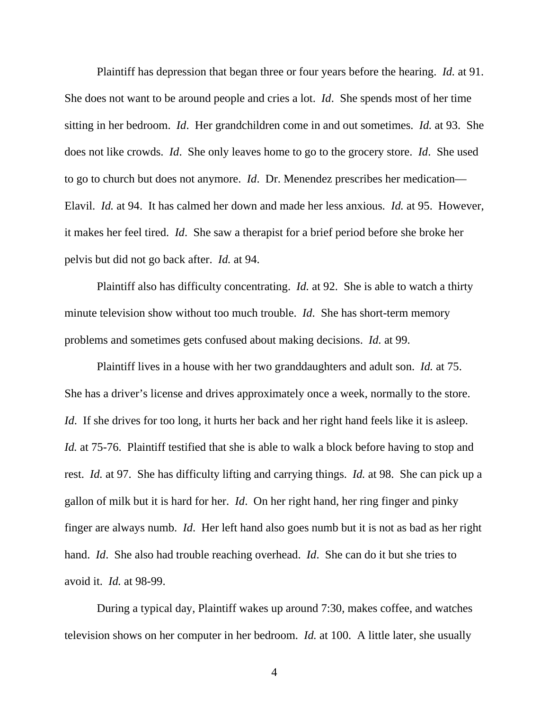Plaintiff has depression that began three or four years before the hearing. *Id.* at 91. She does not want to be around people and cries a lot. *Id*. She spends most of her time sitting in her bedroom. *Id*. Her grandchildren come in and out sometimes. *Id.* at 93. She does not like crowds. *Id*. She only leaves home to go to the grocery store. *Id*. She used to go to church but does not anymore. *Id*. Dr. Menendez prescribes her medication— Elavil. *Id.* at 94. It has calmed her down and made her less anxious. *Id.* at 95. However, it makes her feel tired. *Id*. She saw a therapist for a brief period before she broke her pelvis but did not go back after. *Id.* at 94.

Plaintiff also has difficulty concentrating. *Id.* at 92. She is able to watch a thirty minute television show without too much trouble. *Id*. She has short-term memory problems and sometimes gets confused about making decisions. *Id.* at 99.

Plaintiff lives in a house with her two granddaughters and adult son. *Id.* at 75. She has a driver's license and drives approximately once a week, normally to the store. *Id.* If she drives for too long, it hurts her back and her right hand feels like it is asleep. *Id.* at 75-76. Plaintiff testified that she is able to walk a block before having to stop and rest. *Id.* at 97. She has difficulty lifting and carrying things. *Id.* at 98. She can pick up a gallon of milk but it is hard for her. *Id*. On her right hand, her ring finger and pinky finger are always numb. *Id*. Her left hand also goes numb but it is not as bad as her right hand. *Id*. She also had trouble reaching overhead. *Id*. She can do it but she tries to avoid it. *Id.* at 98-99.

During a typical day, Plaintiff wakes up around 7:30, makes coffee, and watches television shows on her computer in her bedroom. *Id.* at 100. A little later, she usually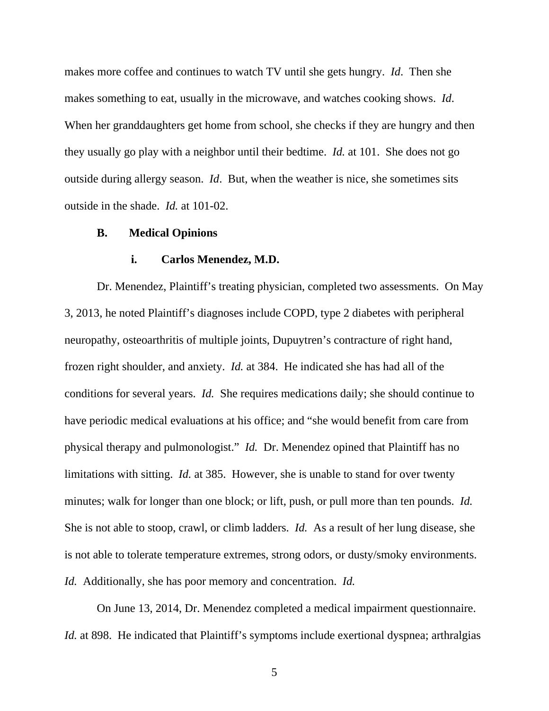makes more coffee and continues to watch TV until she gets hungry. *Id*. Then she makes something to eat, usually in the microwave, and watches cooking shows. *Id*. When her granddaughters get home from school, she checks if they are hungry and then they usually go play with a neighbor until their bedtime. *Id.* at 101. She does not go outside during allergy season. *Id*. But, when the weather is nice, she sometimes sits outside in the shade. *Id.* at 101-02.

#### **B. Medical Opinions**

### **i. Carlos Menendez, M.D.**

Dr. Menendez, Plaintiff's treating physician, completed two assessments. On May 3, 2013, he noted Plaintiff's diagnoses include COPD, type 2 diabetes with peripheral neuropathy, osteoarthritis of multiple joints, Dupuytren's contracture of right hand, frozen right shoulder, and anxiety. *Id.* at 384. He indicated she has had all of the conditions for several years. *Id.* She requires medications daily; she should continue to have periodic medical evaluations at his office; and "she would benefit from care from physical therapy and pulmonologist." *Id.* Dr. Menendez opined that Plaintiff has no limitations with sitting. *Id.* at 385. However, she is unable to stand for over twenty minutes; walk for longer than one block; or lift, push, or pull more than ten pounds. *Id.* She is not able to stoop, crawl, or climb ladders. *Id.* As a result of her lung disease, she is not able to tolerate temperature extremes, strong odors, or dusty/smoky environments. *Id.* Additionally, she has poor memory and concentration. *Id.*

On June 13, 2014, Dr. Menendez completed a medical impairment questionnaire. *Id.* at 898. He indicated that Plaintiff's symptoms include exertional dyspnea; arthralgias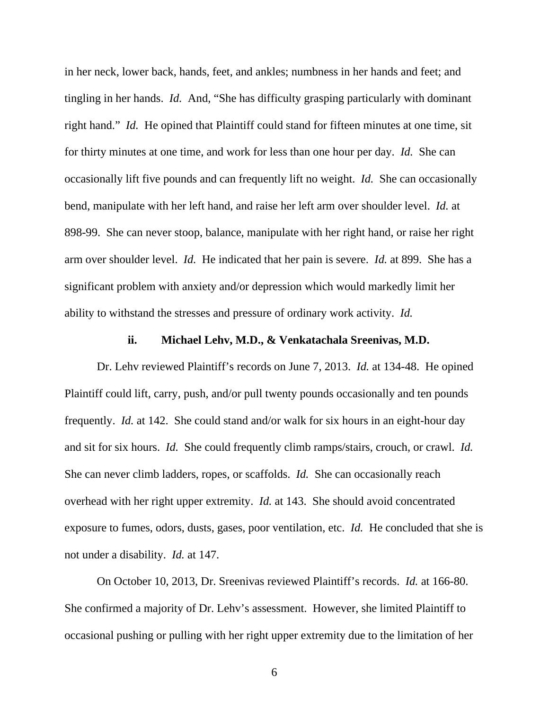in her neck, lower back, hands, feet, and ankles; numbness in her hands and feet; and tingling in her hands. *Id.* And, "She has difficulty grasping particularly with dominant right hand." *Id.* He opined that Plaintiff could stand for fifteen minutes at one time, sit for thirty minutes at one time, and work for less than one hour per day. *Id.* She can occasionally lift five pounds and can frequently lift no weight. *Id.* She can occasionally bend, manipulate with her left hand, and raise her left arm over shoulder level. *Id.* at 898-99. She can never stoop, balance, manipulate with her right hand, or raise her right arm over shoulder level. *Id.* He indicated that her pain is severe. *Id.* at 899. She has a significant problem with anxiety and/or depression which would markedly limit her ability to withstand the stresses and pressure of ordinary work activity. *Id.*

### **ii. Michael Lehv, M.D., & Venkatachala Sreenivas, M.D.**

Dr. Lehv reviewed Plaintiff's records on June 7, 2013. *Id.* at 134-48. He opined Plaintiff could lift, carry, push, and/or pull twenty pounds occasionally and ten pounds frequently. *Id.* at 142. She could stand and/or walk for six hours in an eight-hour day and sit for six hours. *Id.* She could frequently climb ramps/stairs, crouch, or crawl. *Id.* She can never climb ladders, ropes, or scaffolds. *Id.* She can occasionally reach overhead with her right upper extremity. *Id.* at 143. She should avoid concentrated exposure to fumes, odors, dusts, gases, poor ventilation, etc. *Id.* He concluded that she is not under a disability. *Id.* at 147.

On October 10, 2013, Dr. Sreenivas reviewed Plaintiff's records. *Id.* at 166-80. She confirmed a majority of Dr. Lehv's assessment. However, she limited Plaintiff to occasional pushing or pulling with her right upper extremity due to the limitation of her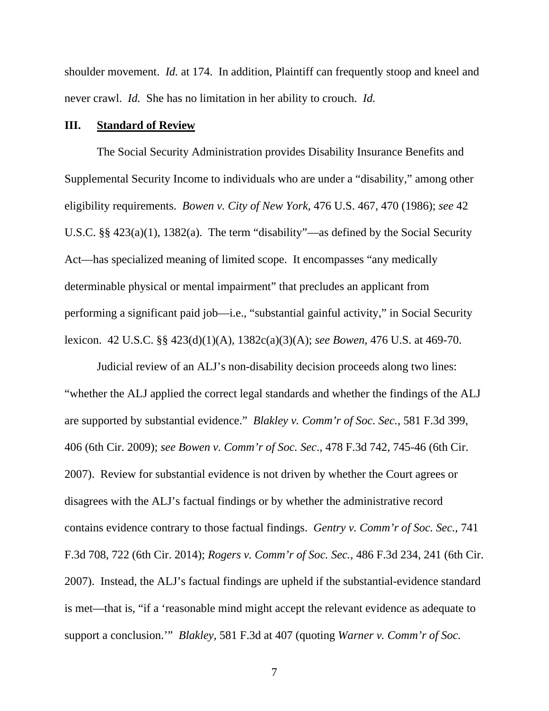shoulder movement. *Id.* at 174. In addition, Plaintiff can frequently stoop and kneel and never crawl. *Id.* She has no limitation in her ability to crouch. *Id.*

## **III. Standard of Review**

The Social Security Administration provides Disability Insurance Benefits and Supplemental Security Income to individuals who are under a "disability," among other eligibility requirements. *Bowen v. City of New York,* 476 U.S. 467, 470 (1986); *see* 42 U.S.C. §§ 423(a)(1), 1382(a). The term "disability"—as defined by the Social Security Act—has specialized meaning of limited scope. It encompasses "any medically determinable physical or mental impairment" that precludes an applicant from performing a significant paid job—i.e., "substantial gainful activity," in Social Security lexicon. 42 U.S.C. §§ 423(d)(1)(A), 1382c(a)(3)(A); *see Bowen,* 476 U.S. at 469-70.

Judicial review of an ALJ's non-disability decision proceeds along two lines: "whether the ALJ applied the correct legal standards and whether the findings of the ALJ are supported by substantial evidence." *Blakley v. Comm'r of Soc. Sec.*, 581 F.3d 399, 406 (6th Cir. 2009); *see Bowen v. Comm'r of Soc. Sec*., 478 F.3d 742, 745-46 (6th Cir. 2007). Review for substantial evidence is not driven by whether the Court agrees or disagrees with the ALJ's factual findings or by whether the administrative record contains evidence contrary to those factual findings. *Gentry v. Comm'r of Soc. Sec.*, 741 F.3d 708, 722 (6th Cir. 2014); *Rogers v. Comm'r of Soc. Sec.*, 486 F.3d 234, 241 (6th Cir. 2007). Instead, the ALJ's factual findings are upheld if the substantial-evidence standard is met—that is, "if a 'reasonable mind might accept the relevant evidence as adequate to support a conclusion.'" *Blakley*, 581 F.3d at 407 (quoting *Warner v. Comm'r of Soc.*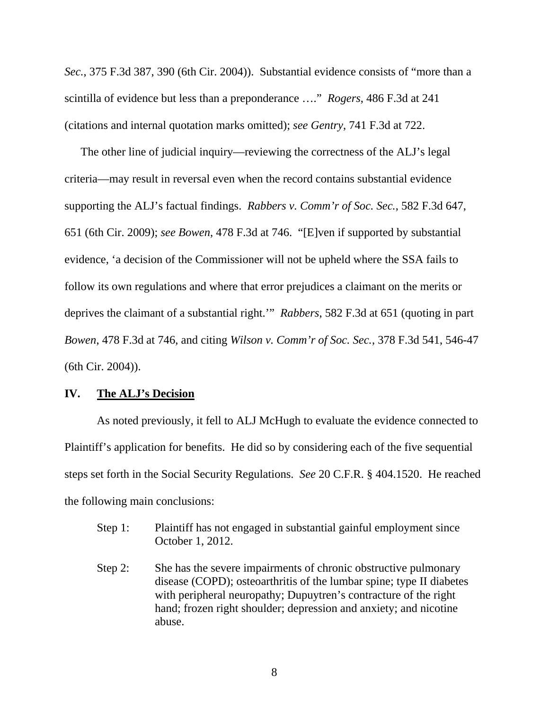*Sec.*, 375 F.3d 387, 390 (6th Cir. 2004)). Substantial evidence consists of "more than a scintilla of evidence but less than a preponderance …." *Rogers*, 486 F.3d at 241 (citations and internal quotation marks omitted); *see Gentry*, 741 F.3d at 722.

The other line of judicial inquiry—reviewing the correctness of the ALJ's legal criteria—may result in reversal even when the record contains substantial evidence supporting the ALJ's factual findings. *Rabbers v. Comm'r of Soc. Sec.*, 582 F.3d 647, 651 (6th Cir. 2009); *see Bowen*, 478 F.3d at 746. "[E]ven if supported by substantial evidence, 'a decision of the Commissioner will not be upheld where the SSA fails to follow its own regulations and where that error prejudices a claimant on the merits or deprives the claimant of a substantial right.'" *Rabbers*, 582 F.3d at 651 (quoting in part *Bowen*, 478 F.3d at 746, and citing *Wilson v. Comm'r of Soc. Sec.*, 378 F.3d 541, 546-47 (6th Cir. 2004)).

# **IV. The ALJ's Decision**

 As noted previously, it fell to ALJ McHugh to evaluate the evidence connected to Plaintiff's application for benefits. He did so by considering each of the five sequential steps set forth in the Social Security Regulations. *See* 20 C.F.R. § 404.1520. He reached the following main conclusions:

- Step 1: Plaintiff has not engaged in substantial gainful employment since October 1, 2012.
- Step 2: She has the severe impairments of chronic obstructive pulmonary disease (COPD); osteoarthritis of the lumbar spine; type II diabetes with peripheral neuropathy; Dupuytren's contracture of the right hand; frozen right shoulder; depression and anxiety; and nicotine abuse.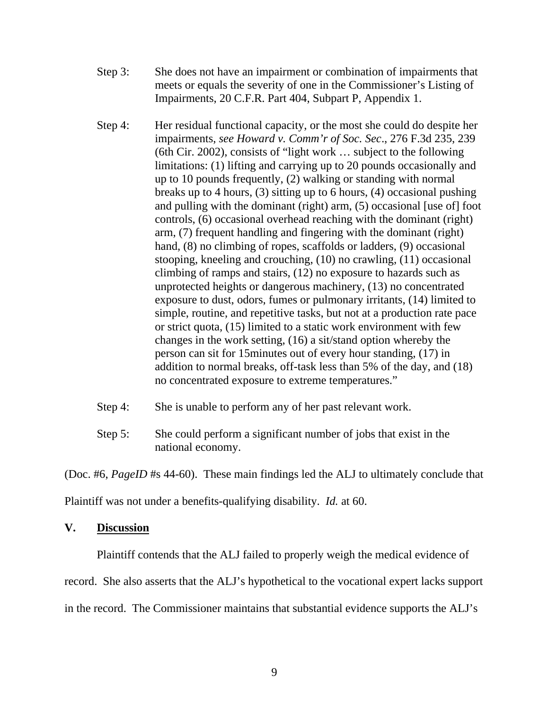- Step 3: She does not have an impairment or combination of impairments that meets or equals the severity of one in the Commissioner's Listing of Impairments, 20 C.F.R. Part 404, Subpart P, Appendix 1.
- Step 4: Her residual functional capacity, or the most she could do despite her impairments, *see Howard v. Comm'r of Soc. Sec*., 276 F.3d 235, 239 (6th Cir. 2002), consists of "light work … subject to the following limitations: (1) lifting and carrying up to 20 pounds occasionally and up to 10 pounds frequently, (2) walking or standing with normal breaks up to 4 hours, (3) sitting up to 6 hours, (4) occasional pushing and pulling with the dominant (right) arm, (5) occasional [use of] foot controls, (6) occasional overhead reaching with the dominant (right) arm, (7) frequent handling and fingering with the dominant (right) hand, (8) no climbing of ropes, scaffolds or ladders, (9) occasional stooping, kneeling and crouching, (10) no crawling, (11) occasional climbing of ramps and stairs, (12) no exposure to hazards such as unprotected heights or dangerous machinery, (13) no concentrated exposure to dust, odors, fumes or pulmonary irritants, (14) limited to simple, routine, and repetitive tasks, but not at a production rate pace or strict quota, (15) limited to a static work environment with few changes in the work setting, (16) a sit/stand option whereby the person can sit for 15minutes out of every hour standing, (17) in addition to normal breaks, off-task less than 5% of the day, and (18) no concentrated exposure to extreme temperatures."
- Step 4: She is unable to perform any of her past relevant work.
- Step 5: She could perform a significant number of jobs that exist in the national economy.

(Doc. #6, *PageID* #s 44-60). These main findings led the ALJ to ultimately conclude that

Plaintiff was not under a benefits-qualifying disability. *Id.* at 60.

## **V. Discussion**

Plaintiff contends that the ALJ failed to properly weigh the medical evidence of

record. She also asserts that the ALJ's hypothetical to the vocational expert lacks support

in the record. The Commissioner maintains that substantial evidence supports the ALJ's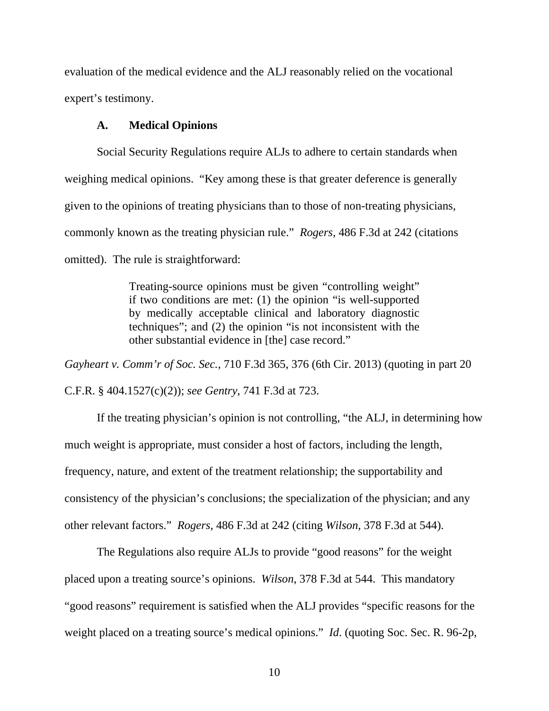evaluation of the medical evidence and the ALJ reasonably relied on the vocational expert's testimony.

## **A. Medical Opinions**

Social Security Regulations require ALJs to adhere to certain standards when weighing medical opinions. "Key among these is that greater deference is generally given to the opinions of treating physicians than to those of non-treating physicians, commonly known as the treating physician rule." *Rogers,* 486 F.3d at 242 (citations omitted). The rule is straightforward:

> Treating-source opinions must be given "controlling weight" if two conditions are met: (1) the opinion "is well-supported by medically acceptable clinical and laboratory diagnostic techniques"; and (2) the opinion "is not inconsistent with the other substantial evidence in [the] case record."

*Gayheart v. Comm'r of Soc. Sec.*, 710 F.3d 365, 376 (6th Cir. 2013) (quoting in part 20 C.F.R. § 404.1527(c)(2)); *see Gentry*, 741 F.3d at 723.

If the treating physician's opinion is not controlling, "the ALJ, in determining how much weight is appropriate, must consider a host of factors, including the length, frequency, nature, and extent of the treatment relationship; the supportability and consistency of the physician's conclusions; the specialization of the physician; and any other relevant factors." *Rogers*, 486 F.3d at 242 (citing *Wilson*, 378 F.3d at 544).

 The Regulations also require ALJs to provide "good reasons" for the weight placed upon a treating source's opinions. *Wilson*, 378 F.3d at 544. This mandatory "good reasons" requirement is satisfied when the ALJ provides "specific reasons for the weight placed on a treating source's medical opinions." *Id*. (quoting Soc. Sec. R. 96-2p,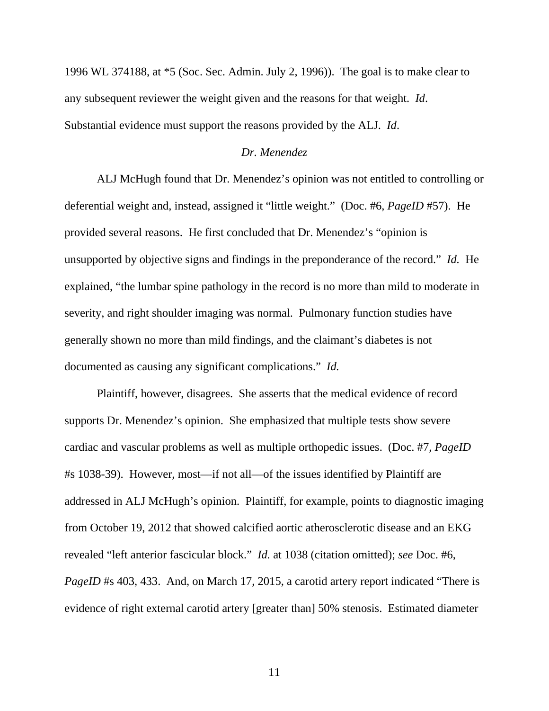1996 WL 374188, at \*5 (Soc. Sec. Admin. July 2, 1996)). The goal is to make clear to any subsequent reviewer the weight given and the reasons for that weight. *Id*. Substantial evidence must support the reasons provided by the ALJ. *Id*.

#### *Dr. Menendez*

ALJ McHugh found that Dr. Menendez's opinion was not entitled to controlling or deferential weight and, instead, assigned it "little weight." (Doc. #6, *PageID* #57). He provided several reasons. He first concluded that Dr. Menendez's "opinion is unsupported by objective signs and findings in the preponderance of the record." *Id.* He explained, "the lumbar spine pathology in the record is no more than mild to moderate in severity, and right shoulder imaging was normal. Pulmonary function studies have generally shown no more than mild findings, and the claimant's diabetes is not documented as causing any significant complications." *Id.*

Plaintiff, however, disagrees. She asserts that the medical evidence of record supports Dr. Menendez's opinion. She emphasized that multiple tests show severe cardiac and vascular problems as well as multiple orthopedic issues. (Doc. #7, *PageID* #s 1038-39). However, most—if not all—of the issues identified by Plaintiff are addressed in ALJ McHugh's opinion. Plaintiff, for example, points to diagnostic imaging from October 19, 2012 that showed calcified aortic atherosclerotic disease and an EKG revealed "left anterior fascicular block." *Id.* at 1038 (citation omitted); *see* Doc. #6, *PageID* #s 403, 433. And, on March 17, 2015, a carotid artery report indicated "There is evidence of right external carotid artery [greater than] 50% stenosis. Estimated diameter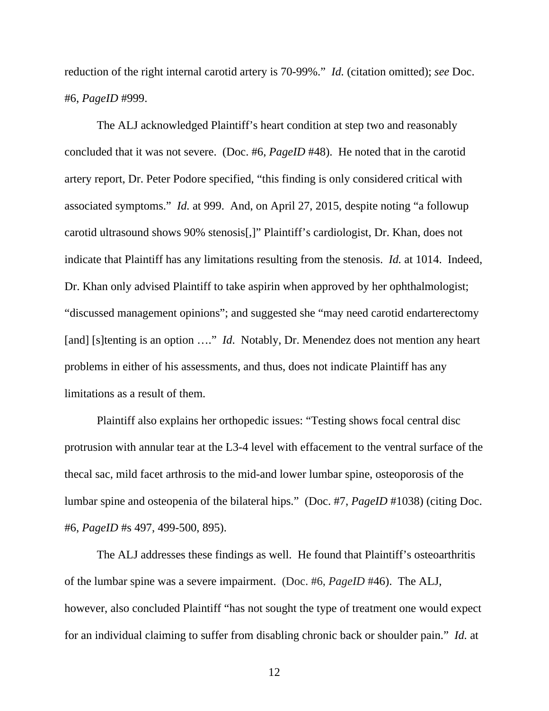reduction of the right internal carotid artery is 70-99%." *Id.* (citation omitted); *see* Doc. #6, *PageID* #999.

The ALJ acknowledged Plaintiff's heart condition at step two and reasonably concluded that it was not severe. (Doc. #6, *PageID* #48). He noted that in the carotid artery report, Dr. Peter Podore specified, "this finding is only considered critical with associated symptoms." *Id.* at 999. And, on April 27, 2015, despite noting "a followup carotid ultrasound shows 90% stenosis[,]" Plaintiff's cardiologist, Dr. Khan, does not indicate that Plaintiff has any limitations resulting from the stenosis. *Id.* at 1014. Indeed, Dr. Khan only advised Plaintiff to take aspirin when approved by her ophthalmologist; "discussed management opinions"; and suggested she "may need carotid endarterectomy [and] [s]tenting is an option ...." *Id*. Notably, Dr. Menendez does not mention any heart problems in either of his assessments, and thus, does not indicate Plaintiff has any limitations as a result of them.

Plaintiff also explains her orthopedic issues: "Testing shows focal central disc protrusion with annular tear at the L3-4 level with effacement to the ventral surface of the thecal sac, mild facet arthrosis to the mid-and lower lumbar spine, osteoporosis of the lumbar spine and osteopenia of the bilateral hips." (Doc. #7, *PageID* #1038) (citing Doc. #6, *PageID* #s 497, 499-500, 895).

The ALJ addresses these findings as well. He found that Plaintiff's osteoarthritis of the lumbar spine was a severe impairment. (Doc. #6, *PageID* #46). The ALJ, however, also concluded Plaintiff "has not sought the type of treatment one would expect for an individual claiming to suffer from disabling chronic back or shoulder pain." *Id.* at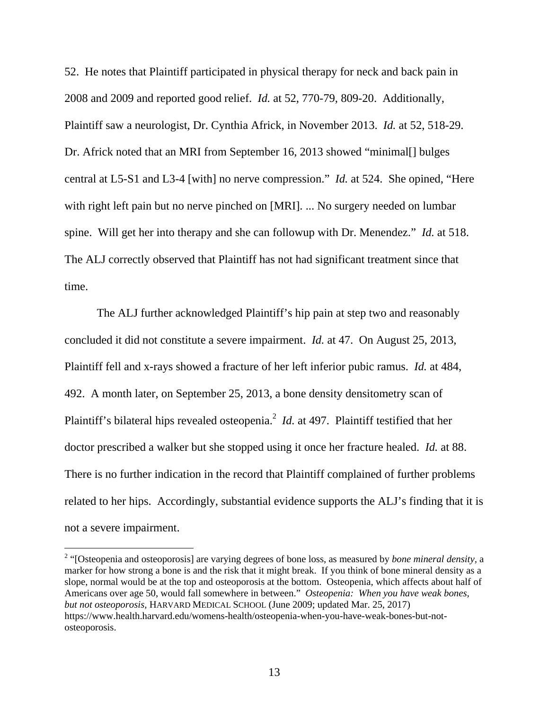52. He notes that Plaintiff participated in physical therapy for neck and back pain in 2008 and 2009 and reported good relief. *Id.* at 52, 770-79, 809-20. Additionally, Plaintiff saw a neurologist, Dr. Cynthia Africk, in November 2013. *Id.* at 52, 518-29. Dr. Africk noted that an MRI from September 16, 2013 showed "minimal[] bulges central at L5-S1 and L3-4 [with] no nerve compression." *Id.* at 524. She opined, "Here with right left pain but no nerve pinched on [MRI]. ... No surgery needed on lumbar spine. Will get her into therapy and she can followup with Dr. Menendez." *Id.* at 518. The ALJ correctly observed that Plaintiff has not had significant treatment since that time.

The ALJ further acknowledged Plaintiff's hip pain at step two and reasonably concluded it did not constitute a severe impairment. *Id.* at 47. On August 25, 2013, Plaintiff fell and x-rays showed a fracture of her left inferior pubic ramus. *Id.* at 484, 492. A month later, on September 25, 2013, a bone density densitometry scan of Plaintiff's bilateral hips revealed osteopenia.<sup>2</sup> *Id.* at 497. Plaintiff testified that her doctor prescribed a walker but she stopped using it once her fracture healed. *Id.* at 88. There is no further indication in the record that Plaintiff complained of further problems related to her hips. Accordingly, substantial evidence supports the ALJ's finding that it is not a severe impairment.

-

<sup>&</sup>lt;sup>2</sup> "[Osteopenia and osteoporosis] are varying degrees of bone loss, as measured by *bone mineral density*, a marker for how strong a bone is and the risk that it might break. If you think of bone mineral density as a slope, normal would be at the top and osteoporosis at the bottom. Osteopenia, which affects about half of Americans over age 50, would fall somewhere in between." *Osteopenia: When you have weak bones, but not osteoporosis,* HARVARD MEDICAL SCHOOL (June 2009; updated Mar. 25, 2017) https://www.health.harvard.edu/womens-health/osteopenia-when-you-have-weak-bones-but-notosteoporosis.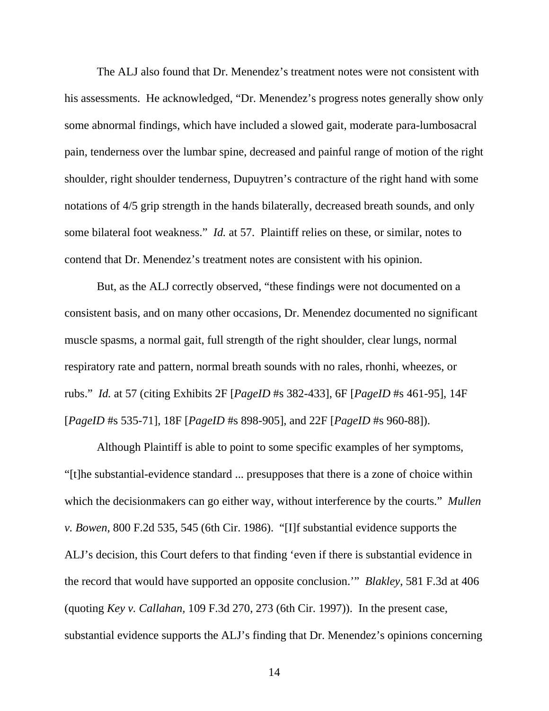The ALJ also found that Dr. Menendez's treatment notes were not consistent with his assessments. He acknowledged, "Dr. Menendez's progress notes generally show only some abnormal findings, which have included a slowed gait, moderate para-lumbosacral pain, tenderness over the lumbar spine, decreased and painful range of motion of the right shoulder, right shoulder tenderness, Dupuytren's contracture of the right hand with some notations of 4/5 grip strength in the hands bilaterally, decreased breath sounds, and only some bilateral foot weakness." *Id.* at 57. Plaintiff relies on these, or similar, notes to contend that Dr. Menendez's treatment notes are consistent with his opinion.

But, as the ALJ correctly observed, "these findings were not documented on a consistent basis, and on many other occasions, Dr. Menendez documented no significant muscle spasms, a normal gait, full strength of the right shoulder, clear lungs, normal respiratory rate and pattern, normal breath sounds with no rales, rhonhi, wheezes, or rubs." *Id.* at 57 (citing Exhibits 2F [*PageID* #s 382-433], 6F [*PageID* #s 461-95], 14F [*PageID* #s 535-71], 18F [*PageID* #s 898-905], and 22F [*PageID* #s 960-88]).

Although Plaintiff is able to point to some specific examples of her symptoms, "[t]he substantial-evidence standard ... presupposes that there is a zone of choice within which the decisionmakers can go either way, without interference by the courts." *Mullen v. Bowen,* 800 F.2d 535, 545 (6th Cir. 1986). "[I]f substantial evidence supports the ALJ's decision, this Court defers to that finding 'even if there is substantial evidence in the record that would have supported an opposite conclusion.'" *Blakley*, 581 F.3d at 406 (quoting *Key v. Callahan,* 109 F.3d 270, 273 (6th Cir. 1997)). In the present case, substantial evidence supports the ALJ's finding that Dr. Menendez's opinions concerning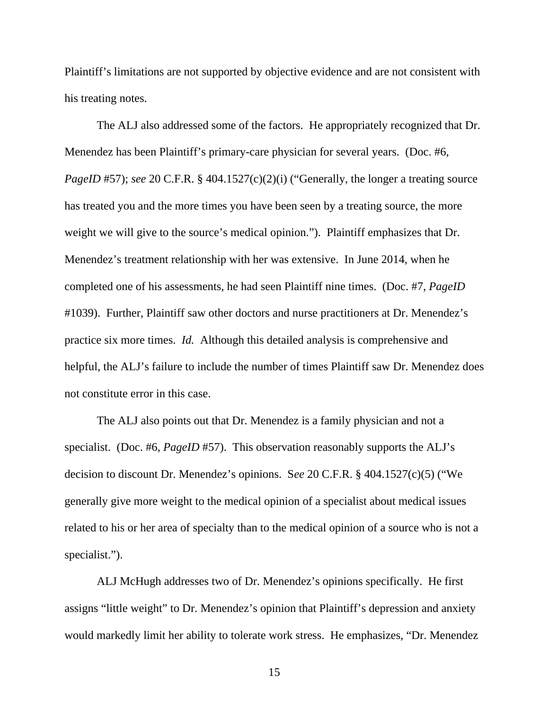Plaintiff's limitations are not supported by objective evidence and are not consistent with his treating notes.

 The ALJ also addressed some of the factors. He appropriately recognized that Dr. Menendez has been Plaintiff's primary-care physician for several years. (Doc. #6, *PageID* #57); *see* 20 C.F.R. § 404.1527(c)(2)(i) ("Generally, the longer a treating source has treated you and the more times you have been seen by a treating source, the more weight we will give to the source's medical opinion."). Plaintiff emphasizes that Dr. Menendez's treatment relationship with her was extensive. In June 2014, when he completed one of his assessments, he had seen Plaintiff nine times. (Doc. #7, *PageID* #1039). Further, Plaintiff saw other doctors and nurse practitioners at Dr. Menendez's practice six more times. *Id.* Although this detailed analysis is comprehensive and helpful, the ALJ's failure to include the number of times Plaintiff saw Dr. Menendez does not constitute error in this case.

 The ALJ also points out that Dr. Menendez is a family physician and not a specialist. (Doc. #6, *PageID* #57). This observation reasonably supports the ALJ's decision to discount Dr. Menendez's opinions. S*ee* 20 C.F.R. § 404.1527(c)(5) ("We generally give more weight to the medical opinion of a specialist about medical issues related to his or her area of specialty than to the medical opinion of a source who is not a specialist.").

ALJ McHugh addresses two of Dr. Menendez's opinions specifically. He first assigns "little weight" to Dr. Menendez's opinion that Plaintiff's depression and anxiety would markedly limit her ability to tolerate work stress. He emphasizes, "Dr. Menendez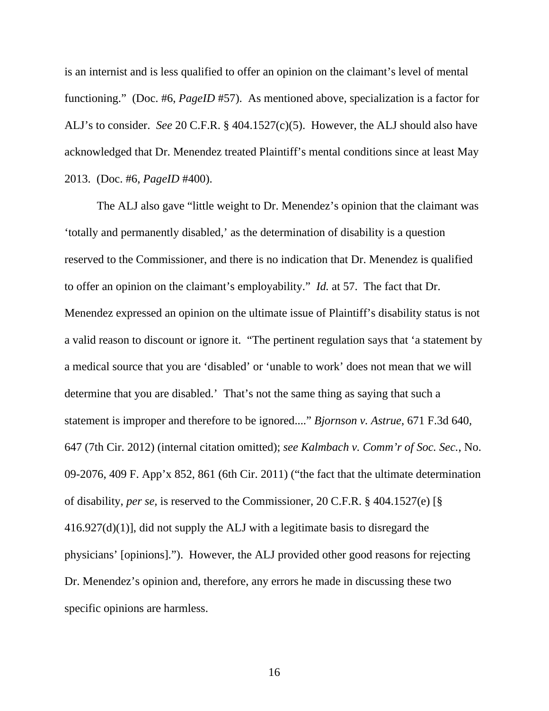is an internist and is less qualified to offer an opinion on the claimant's level of mental functioning." (Doc. #6, *PageID* #57). As mentioned above, specialization is a factor for ALJ's to consider. *See* 20 C.F.R. § 404.1527(c)(5). However, the ALJ should also have acknowledged that Dr. Menendez treated Plaintiff's mental conditions since at least May 2013. (Doc. #6, *PageID* #400).

The ALJ also gave "little weight to Dr. Menendez's opinion that the claimant was 'totally and permanently disabled,' as the determination of disability is a question reserved to the Commissioner, and there is no indication that Dr. Menendez is qualified to offer an opinion on the claimant's employability." *Id.* at 57. The fact that Dr. Menendez expressed an opinion on the ultimate issue of Plaintiff's disability status is not a valid reason to discount or ignore it. "The pertinent regulation says that 'a statement by a medical source that you are 'disabled' or 'unable to work' does not mean that we will determine that you are disabled.' That's not the same thing as saying that such a statement is improper and therefore to be ignored...." *Bjornson v. Astrue*, 671 F.3d 640, 647 (7th Cir. 2012) (internal citation omitted); *see Kalmbach v. Comm'r of Soc. Sec.*, No. 09-2076, 409 F. App'x 852, 861 (6th Cir. 2011) ("the fact that the ultimate determination of disability, *per se,* is reserved to the Commissioner, 20 C.F.R. § 404.1527(e) [§  $416.927(d)(1)$ ], did not supply the ALJ with a legitimate basis to disregard the physicians' [opinions]."). However, the ALJ provided other good reasons for rejecting Dr. Menendez's opinion and, therefore, any errors he made in discussing these two specific opinions are harmless.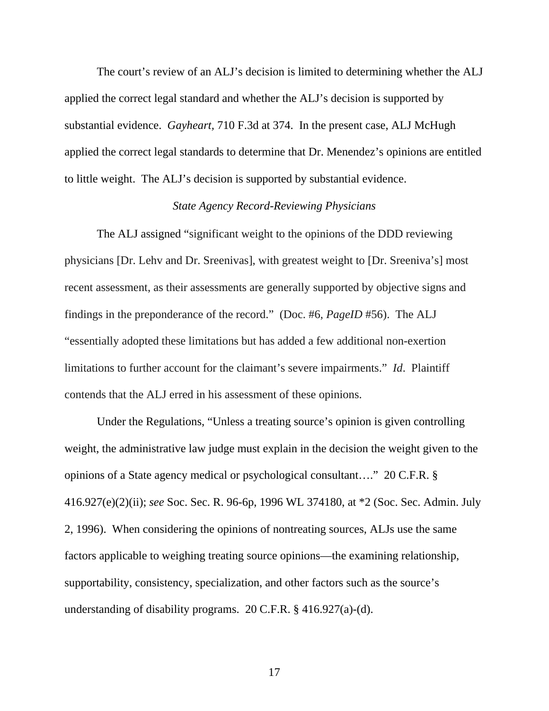The court's review of an ALJ's decision is limited to determining whether the ALJ applied the correct legal standard and whether the ALJ's decision is supported by substantial evidence. *Gayheart,* 710 F.3d at 374. In the present case, ALJ McHugh applied the correct legal standards to determine that Dr. Menendez's opinions are entitled to little weight. The ALJ's decision is supported by substantial evidence.

# *State Agency Record-Reviewing Physicians*

The ALJ assigned "significant weight to the opinions of the DDD reviewing physicians [Dr. Lehv and Dr. Sreenivas], with greatest weight to [Dr. Sreeniva's] most recent assessment, as their assessments are generally supported by objective signs and findings in the preponderance of the record." (Doc. #6, *PageID* #56). The ALJ "essentially adopted these limitations but has added a few additional non-exertion limitations to further account for the claimant's severe impairments." *Id*. Plaintiff contends that the ALJ erred in his assessment of these opinions.

Under the Regulations, "Unless a treating source's opinion is given controlling weight, the administrative law judge must explain in the decision the weight given to the opinions of a State agency medical or psychological consultant…." 20 C.F.R. § 416.927(e)(2)(ii); *see* Soc. Sec. R. 96-6p, 1996 WL 374180, at \*2 (Soc. Sec. Admin. July 2, 1996). When considering the opinions of nontreating sources, ALJs use the same factors applicable to weighing treating source opinions—the examining relationship, supportability, consistency, specialization, and other factors such as the source's understanding of disability programs. 20 C.F.R. § 416.927(a)-(d).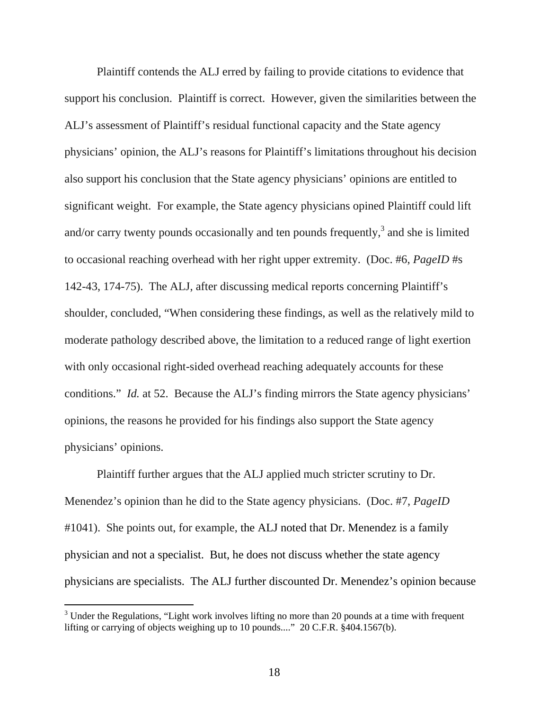Plaintiff contends the ALJ erred by failing to provide citations to evidence that support his conclusion. Plaintiff is correct. However, given the similarities between the ALJ's assessment of Plaintiff's residual functional capacity and the State agency physicians' opinion, the ALJ's reasons for Plaintiff's limitations throughout his decision also support his conclusion that the State agency physicians' opinions are entitled to significant weight. For example, the State agency physicians opined Plaintiff could lift and/or carry twenty pounds occasionally and ten pounds frequently, $3$  and she is limited to occasional reaching overhead with her right upper extremity. (Doc. #6, *PageID* #s 142-43, 174-75). The ALJ, after discussing medical reports concerning Plaintiff's shoulder, concluded, "When considering these findings, as well as the relatively mild to moderate pathology described above, the limitation to a reduced range of light exertion with only occasional right-sided overhead reaching adequately accounts for these conditions." *Id.* at 52. Because the ALJ's finding mirrors the State agency physicians' opinions, the reasons he provided for his findings also support the State agency physicians' opinions.

Plaintiff further argues that the ALJ applied much stricter scrutiny to Dr. Menendez's opinion than he did to the State agency physicians. (Doc. #7, *PageID*  #1041). She points out, for example, the ALJ noted that Dr. Menendez is a family physician and not a specialist. But, he does not discuss whether the state agency physicians are specialists. The ALJ further discounted Dr. Menendez's opinion because

 $3$  Under the Regulations, "Light work involves lifting no more than 20 pounds at a time with frequent lifting or carrying of objects weighing up to 10 pounds...." 20 C.F.R. §404.1567(b).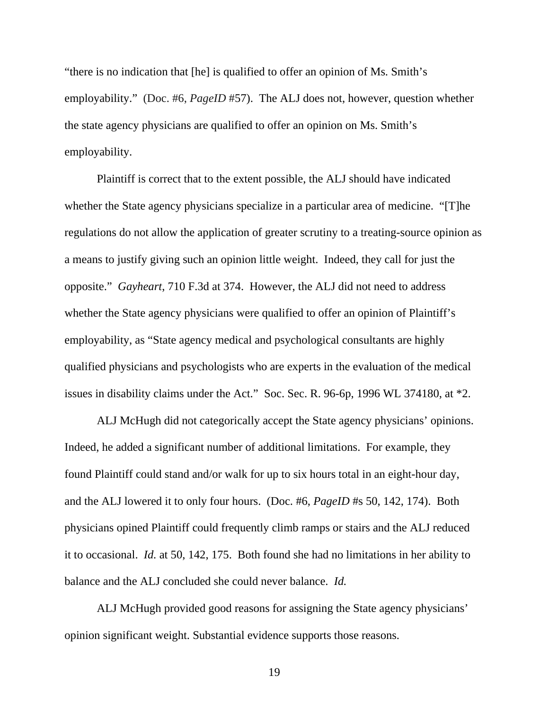"there is no indication that [he] is qualified to offer an opinion of Ms. Smith's employability." (Doc. #6, *PageID* #57). The ALJ does not, however, question whether the state agency physicians are qualified to offer an opinion on Ms. Smith's employability.

Plaintiff is correct that to the extent possible, the ALJ should have indicated whether the State agency physicians specialize in a particular area of medicine. "[T]he regulations do not allow the application of greater scrutiny to a treating-source opinion as a means to justify giving such an opinion little weight. Indeed, they call for just the opposite." *Gayheart*, 710 F.3d at 374. However, the ALJ did not need to address whether the State agency physicians were qualified to offer an opinion of Plaintiff's employability, as "State agency medical and psychological consultants are highly qualified physicians and psychologists who are experts in the evaluation of the medical issues in disability claims under the Act." Soc. Sec. R. 96-6p, 1996 WL 374180, at \*2.

ALJ McHugh did not categorically accept the State agency physicians' opinions. Indeed, he added a significant number of additional limitations. For example, they found Plaintiff could stand and/or walk for up to six hours total in an eight-hour day, and the ALJ lowered it to only four hours. (Doc. #6, *PageID* #s 50, 142, 174). Both physicians opined Plaintiff could frequently climb ramps or stairs and the ALJ reduced it to occasional. *Id.* at 50, 142, 175. Both found she had no limitations in her ability to balance and the ALJ concluded she could never balance. *Id.*

ALJ McHugh provided good reasons for assigning the State agency physicians' opinion significant weight. Substantial evidence supports those reasons.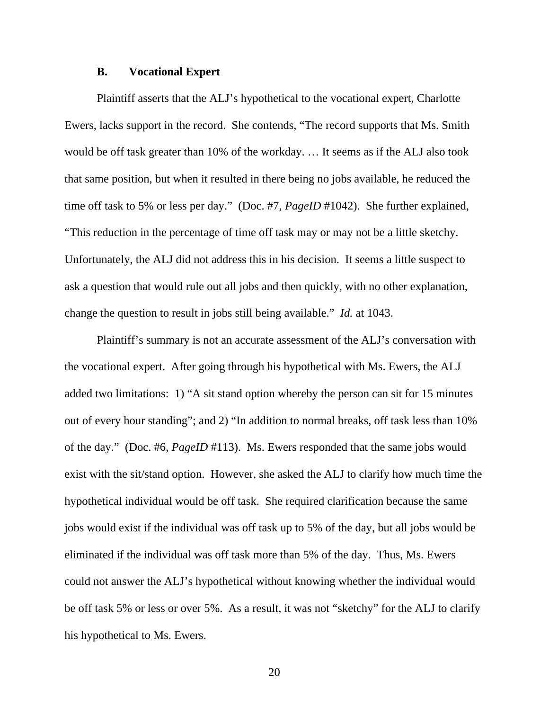#### **B. Vocational Expert**

Plaintiff asserts that the ALJ's hypothetical to the vocational expert, Charlotte Ewers, lacks support in the record. She contends, "The record supports that Ms. Smith would be off task greater than 10% of the workday. … It seems as if the ALJ also took that same position, but when it resulted in there being no jobs available, he reduced the time off task to 5% or less per day." (Doc. #7, *PageID* #1042). She further explained, "This reduction in the percentage of time off task may or may not be a little sketchy. Unfortunately, the ALJ did not address this in his decision. It seems a little suspect to ask a question that would rule out all jobs and then quickly, with no other explanation, change the question to result in jobs still being available." *Id.* at 1043.

Plaintiff's summary is not an accurate assessment of the ALJ's conversation with the vocational expert. After going through his hypothetical with Ms. Ewers, the ALJ added two limitations: 1) "A sit stand option whereby the person can sit for 15 minutes out of every hour standing"; and 2) "In addition to normal breaks, off task less than 10% of the day." (Doc. #6, *PageID* #113). Ms. Ewers responded that the same jobs would exist with the sit/stand option. However, she asked the ALJ to clarify how much time the hypothetical individual would be off task. She required clarification because the same jobs would exist if the individual was off task up to 5% of the day, but all jobs would be eliminated if the individual was off task more than 5% of the day. Thus, Ms. Ewers could not answer the ALJ's hypothetical without knowing whether the individual would be off task 5% or less or over 5%. As a result, it was not "sketchy" for the ALJ to clarify his hypothetical to Ms. Ewers.